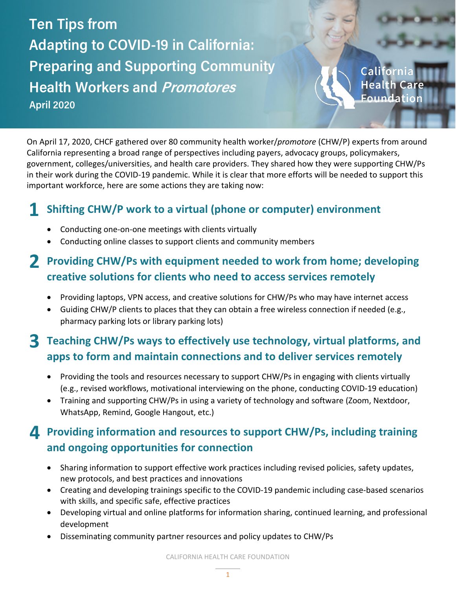**Ten Tips from Adapting to COVID-19 in California: Preparing and Supporting Community Health Workers and Promotores April 2020**

Californi Foundation

On April 17, 2020, CHCF gathered over 80 community health worker/*promotore* (CHW/P) experts from around California representing a broad range of perspectives including payers, advocacy groups, policymakers, government, colleges/universities, and health care providers. They shared how they were supporting CHW/Ps in their work during the COVID-19 pandemic. While it is clear that more efforts will be needed to support this important workforce, here are some actions they are taking now:

#### **Shifting CHW/P work to a virtual (phone or computer) environment 1**

- Conducting one-on-one meetings with clients virtually
- Conducting online classes to support clients and community members

## **Providing CHW/Ps with equipment needed to work from home; developing 2 creative solutions for clients who need to access services remotely**

- Providing laptops, VPN access, and creative solutions for CHW/Ps who may have internet access
- Guiding CHW/P clients to places that they can obtain a free wireless connection if needed (e.g., pharmacy parking lots or library parking lots)

### **Teaching CHW/Ps ways to effectively use technology, virtual platforms, and 3 apps to form and maintain connections and to deliver services remotely**

- Providing the tools and resources necessary to support CHW/Ps in engaging with clients virtually (e.g., revised workflows, motivational interviewing on the phone, conducting COVID-19 education)
- Training and supporting CHW/Ps in using a variety of technology and software (Zoom, Nextdoor, WhatsApp, Remind, Google Hangout, etc.)

### **Providing information and resources to support CHW/Ps, including training 4 and ongoing opportunities for connection**

- Sharing information to support effective work practices including revised policies, safety updates, new protocols, and best practices and innovations
- Creating and developing trainings specific to the COVID-19 pandemic including case-based scenarios with skills, and specific safe, effective practices
- Developing virtual and online platforms for information sharing, continued learning, and professional development
- Disseminating community partner resources and policy updates to CHW/Ps